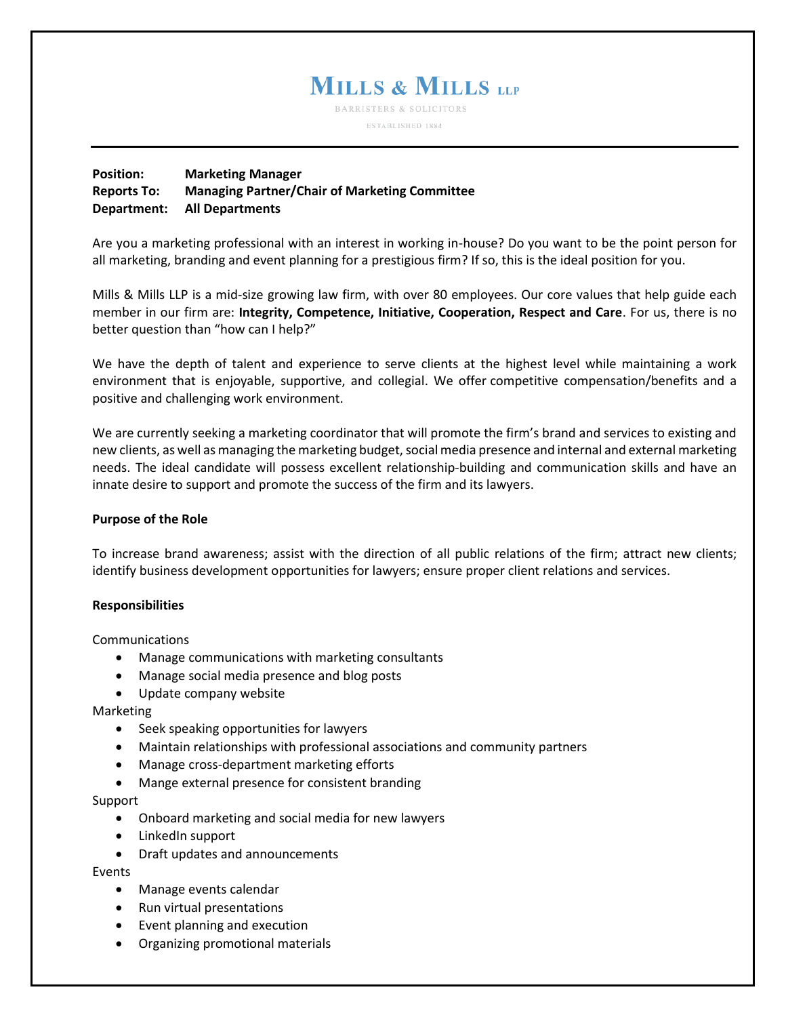# **MILLS & MILLS LLP**

**BARRISTERS & SOLICITORS** ESTABLISHED 1884

## **Position: Marketing Manager Reports To: Managing Partner/Chair of Marketing Committee Department: All Departments**

Are you a marketing professional with an interest in working in-house? Do you want to be the point person for all marketing, branding and event planning for a prestigious firm? If so, this is the ideal position for you.

Mills & Mills LLP is a mid-size growing law firm, with over 80 employees. Our core values that help guide each member in our firm are: **Integrity, Competence, Initiative, Cooperation, Respect and Care**. For us, there is no better question than "how can I help?"

We have the depth of talent and experience to serve clients at the highest level while maintaining a work environment that is enjoyable, supportive, and collegial. We offer competitive compensation/benefits and a positive and challenging work environment.

We are currently seeking a marketing coordinator that will promote the firm's brand and services to existing and new clients, as well as managing the marketing budget, social media presence and internal and external marketing needs. The ideal candidate will possess excellent relationship-building and communication skills and have an innate desire to support and promote the success of the firm and its lawyers.

## **Purpose of the Role**

To increase brand awareness; assist with the direction of all public relations of the firm; attract new clients; identify business development opportunities for lawyers; ensure proper client relations and services.

#### **Responsibilities**

Communications

- Manage communications with marketing consultants
- Manage social media presence and blog posts
- Update company website

Marketing

- Seek speaking opportunities for lawyers
- Maintain relationships with professional associations and community partners
- Manage cross-department marketing efforts
- Mange external presence for consistent branding

#### Support

- Onboard marketing and social media for new lawyers
- LinkedIn support
- Draft updates and announcements

Events

- Manage events calendar
- Run virtual presentations
- Event planning and execution
- Organizing promotional materials